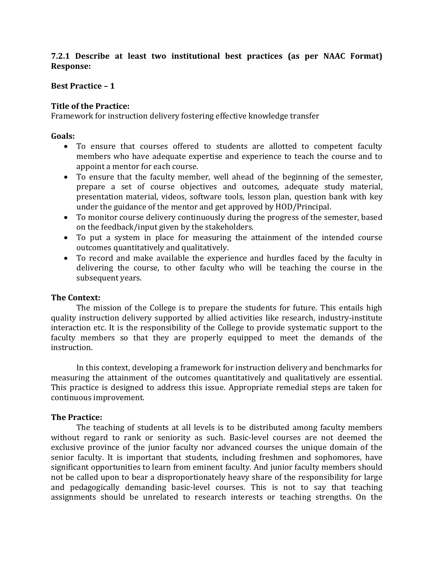# **7.2.1 Describe at least two institutional best practices (as per NAAC Format) Response:**

## **Best Practice – 1**

## **Title of the Practice:**

Framework for instruction delivery fostering effective knowledge transfer

## **Goals:**

- To ensure that courses offered to students are allotted to competent faculty members who have adequate expertise and experience to teach the course and to appoint a mentor for each course.
- To ensure that the faculty member, well ahead of the beginning of the semester, prepare a set of course objectives and outcomes, adequate study material, presentation material, videos, software tools, lesson plan, question bank with key under the guidance of the mentor and get approved by HOD/Principal.
- To monitor course delivery continuously during the progress of the semester, based on the feedback/input given by the stakeholders.
- To put a system in place for measuring the attainment of the intended course outcomes quantitatively and qualitatively.
- To record and make available the experience and hurdles faced by the faculty in delivering the course, to other faculty who will be teaching the course in the subsequent years.

### **The Context:**

The mission of the College is to prepare the students for future. This entails high quality instruction delivery supported by allied activities like research, industry-institute interaction etc. It is the responsibility of the College to provide systematic support to the faculty members so that they are properly equipped to meet the demands of the instruction.

In this context, developing a framework for instruction delivery and benchmarks for measuring the attainment of the outcomes quantitatively and qualitatively are essential. This practice is designed to address this issue. Appropriate remedial steps are taken for continuous improvement.

# **The Practice:**

The teaching of students at all levels is to be distributed among faculty members without regard to rank or seniority as such. Basic-level courses are not deemed the exclusive province of the junior faculty nor advanced courses the unique domain of the senior faculty. It is important that students, including freshmen and sophomores, have significant opportunities to learn from eminent faculty. And junior faculty members should not be called upon to bear a disproportionately heavy share of the responsibility for large and pedagogically demanding basic-level courses. This is not to say that teaching assignments should be unrelated to research interests or teaching strengths. On the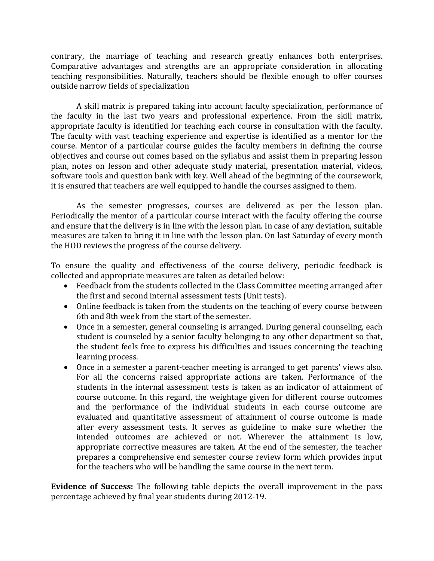contrary, the marriage of teaching and research greatly enhances both enterprises. Comparative advantages and strengths are an appropriate consideration in allocating teaching responsibilities. Naturally, teachers should be flexible enough to offer courses outside narrow fields of specialization

A skill matrix is prepared taking into account faculty specialization, performance of the faculty in the last two years and professional experience. From the skill matrix, appropriate faculty is identified for teaching each course in consultation with the faculty. The faculty with vast teaching experience and expertise is identified as a mentor for the course. Mentor of a particular course guides the faculty members in defining the course objectives and course out comes based on the syllabus and assist them in preparing lesson plan, notes on lesson and other adequate study material, presentation material, videos, software tools and question bank with key. Well ahead of the beginning of the coursework, it is ensured that teachers are well equipped to handle the courses assigned to them.

As the semester progresses, courses are delivered as per the lesson plan. Periodically the mentor of a particular course interact with the faculty offering the course and ensure that the delivery is in line with the lesson plan. In case of any deviation, suitable measures are taken to bring it in line with the lesson plan. On last Saturday of every month the HOD reviews the progress of the course delivery.

To ensure the quality and effectiveness of the course delivery, periodic feedback is collected and appropriate measures are taken as detailed below:

- Feedback from the students collected in the Class Committee meeting arranged after the first and second internal assessment tests (Unit tests).
- Online feedback is taken from the students on the teaching of every course between 6th and 8th week from the start of the semester.
- Once in a semester, general counseling is arranged. During general counseling, each student is counseled by a senior faculty belonging to any other department so that, the student feels free to express his difficulties and issues concerning the teaching learning process.
- Once in a semester a parent-teacher meeting is arranged to get parents' views also. For all the concerns raised appropriate actions are taken. Performance of the students in the internal assessment tests is taken as an indicator of attainment of course outcome. In this regard, the weightage given for different course outcomes and the performance of the individual students in each course outcome are evaluated and quantitative assessment of attainment of course outcome is made after every assessment tests. It serves as guideline to make sure whether the intended outcomes are achieved or not. Wherever the attainment is low, appropriate corrective measures are taken. At the end of the semester, the teacher prepares a comprehensive end semester course review form which provides input for the teachers who will be handling the same course in the next term.

**Evidence of Success:** The following table depicts the overall improvement in the pass percentage achieved by final year students during 2012-19.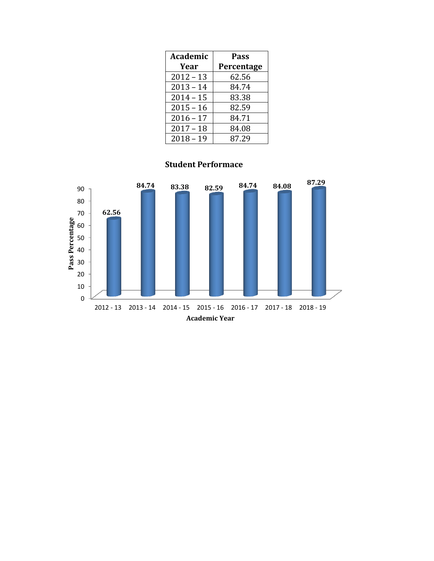| Academic    | Pass       |
|-------------|------------|
| Year        | Percentage |
| $2012 - 13$ | 62.56      |
| $2013 - 14$ | 84.74      |
| $2014 - 15$ | 83.38      |
| $2015 - 16$ | 82.59      |
| $2016 - 17$ | 84.71      |
| $2017 - 18$ | 84.08      |
| $2018 - 19$ | 87.29      |

# **Student Performace**

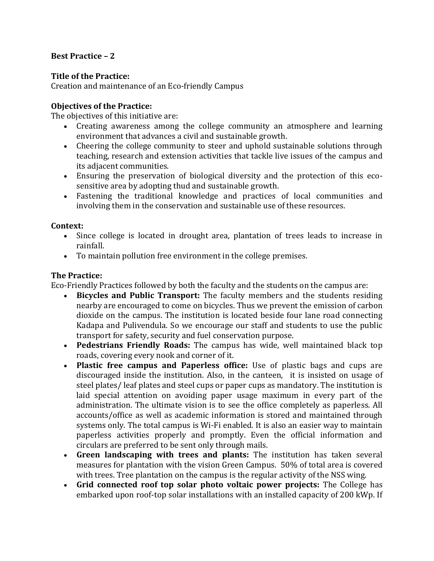# **Best Practice – 2**

## **Title of the Practice:**

Creation and maintenance of an Eco-friendly Campus

## **Objectives of the Practice:**

The objectives of this initiative are:

- Creating awareness among the college community an atmosphere and learning environment that advances a civil and sustainable growth.
- Cheering the college community to steer and uphold sustainable solutions through teaching, research and extension activities that tackle live issues of the campus and its adjacent communities.
- Ensuring the preservation of biological diversity and the protection of this ecosensitive area by adopting thud and sustainable growth.
- Fastening the traditional knowledge and practices of local communities and involving them in the conservation and sustainable use of these resources.

## **Context:**

- Since college is located in drought area, plantation of trees leads to increase in rainfall.
- To maintain pollution free environment in the college premises.

## **The Practice:**

Eco-Friendly Practices followed by both the faculty and the students on the campus are:

- **Bicycles and Public Transport:** The faculty members and the students residing nearby are encouraged to come on bicycles. Thus we prevent the emission of carbon dioxide on the campus. The institution is located beside four lane road connecting Kadapa and Pulivendula. So we encourage our staff and students to use the public transport for safety, security and fuel conservation purpose.
- **Pedestrians Friendly Roads:** The campus has wide, well maintained black top roads, covering every nook and corner of it.
- **Plastic free campus and Paperless office:** Use of plastic bags and cups are discouraged inside the institution. Also, in the canteen, it is insisted on usage of steel plates/ leaf plates and steel cups or paper cups as mandatory. The institution is laid special attention on avoiding paper usage maximum in every part of the administration. The ultimate vision is to see the office completely as paperless. All accounts/office as well as academic information is stored and maintained through systems only. The total campus is Wi-Fi enabled. It is also an easier way to maintain paperless activities properly and promptly. Even the official information and circulars are preferred to be sent only through mails.
- **Green landscaping with trees and plants:** The institution has taken several measures for plantation with the vision Green Campus. 50% of total area is covered with trees. Tree plantation on the campus is the regular activity of the NSS wing.
- **Grid connected roof top solar photo voltaic power projects:** The College has embarked upon roof-top solar installations with an installed capacity of 200 kWp. If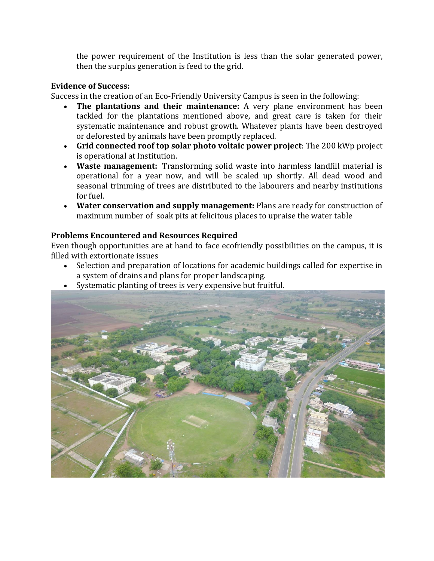the power requirement of the Institution is less than the solar generated power, then the surplus generation is feed to the grid.

# **Evidence of Success:**

Success in the creation of an Eco-Friendly University Campus is seen in the following:

- **The plantations and their maintenance:** A very plane environment has been tackled for the plantations mentioned above, and great care is taken for their systematic maintenance and robust growth. Whatever plants have been destroyed or deforested by animals have been promptly replaced.
- **Grid connected roof top solar photo voltaic power project**: The 200 kWp project is operational at Institution.
- **Waste management:** Transforming solid waste into harmless landfill material is operational for a year now, and will be scaled up shortly. All dead wood and seasonal trimming of trees are distributed to the labourers and nearby institutions for fuel.
- **Water conservation and supply management:** Plans are ready for construction of maximum number of soak pits at felicitous places to upraise the water table

# **Problems Encountered and Resources Required**

Even though opportunities are at hand to face ecofriendly possibilities on the campus, it is filled with extortionate issues

- Selection and preparation of locations for academic buildings called for expertise in a system of drains and plans for proper landscaping.
- Systematic planting of trees is very expensive but fruitful.

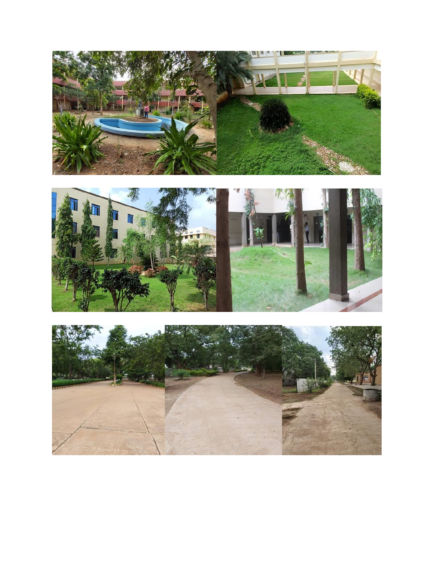



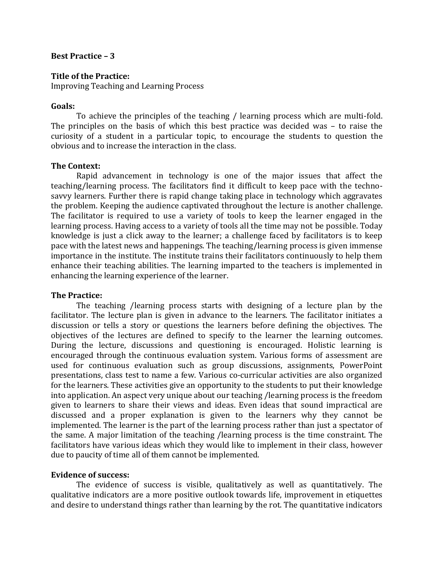### **Best Practice – 3**

### **Title of the Practice:**

Improving Teaching and Learning Process

### **Goals:**

To achieve the principles of the teaching / learning process which are multi-fold. The principles on the basis of which this best practice was decided was – to raise the curiosity of a student in a particular topic, to encourage the students to question the obvious and to increase the interaction in the class.

### **The Context:**

Rapid advancement in technology is one of the major issues that affect the teaching/learning process. The facilitators find it difficult to keep pace with the technosavvy learners. Further there is rapid change taking place in technology which aggravates the problem. Keeping the audience captivated throughout the lecture is another challenge. The facilitator is required to use a variety of tools to keep the learner engaged in the learning process. Having access to a variety of tools all the time may not be possible. Today knowledge is just a click away to the learner; a challenge faced by facilitators is to keep pace with the latest news and happenings. The teaching/learning process is given immense importance in the institute. The institute trains their facilitators continuously to help them enhance their teaching abilities. The learning imparted to the teachers is implemented in enhancing the learning experience of the learner.

### **The Practice:**

The teaching /learning process starts with designing of a lecture plan by the facilitator. The lecture plan is given in advance to the learners. The facilitator initiates a discussion or tells a story or questions the learners before defining the objectives. The objectives of the lectures are defined to specify to the learner the learning outcomes. During the lecture, discussions and questioning is encouraged. Holistic learning is encouraged through the continuous evaluation system. Various forms of assessment are used for continuous evaluation such as group discussions, assignments, PowerPoint presentations, class test to name a few. Various co-curricular activities are also organized for the learners. These activities give an opportunity to the students to put their knowledge into application. An aspect very unique about our teaching /learning process is the freedom given to learners to share their views and ideas. Even ideas that sound impractical are discussed and a proper explanation is given to the learners why they cannot be implemented. The learner is the part of the learning process rather than just a spectator of the same. A major limitation of the teaching /learning process is the time constraint. The facilitators have various ideas which they would like to implement in their class, however due to paucity of time all of them cannot be implemented.

### **Evidence of success:**

The evidence of success is visible, qualitatively as well as quantitatively. The qualitative indicators are a more positive outlook towards life, improvement in etiquettes and desire to understand things rather than learning by the rot. The quantitative indicators